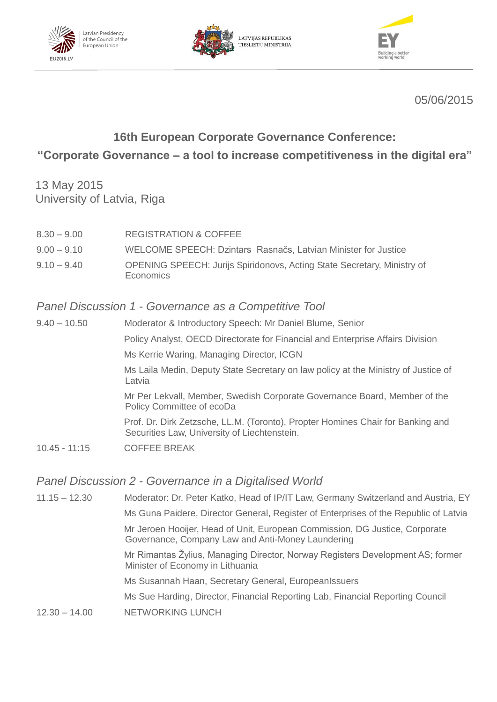





05/06/2015

# **16th European Corporate Governance Conference:**

## **"Corporate Governance – a tool to increase competitiveness in the digital era"**

13 May 2015 University of Latvia, Riga

8.30 – 9.00 REGISTRATION & COFFEE 9.00 – 9.10 WELCOME SPEECH: Dzintars Rasnačs, Latvian Minister for Justice 9.10 – 9.40 OPENING SPEECH: Jurijs Spiridonovs, Acting State Secretary, Ministry of **Economics** 

### *Panel Discussion 1 - Governance as a Competitive Tool*

| $9.40 - 10.50$  | Moderator & Introductory Speech: Mr Daniel Blume, Senior                                                                        |
|-----------------|---------------------------------------------------------------------------------------------------------------------------------|
|                 | Policy Analyst, OECD Directorate for Financial and Enterprise Affairs Division                                                  |
|                 | Ms Kerrie Waring, Managing Director, ICGN                                                                                       |
|                 | Ms Laila Medin, Deputy State Secretary on law policy at the Ministry of Justice of<br>Latvia                                    |
|                 | Mr Per Lekvall, Member, Swedish Corporate Governance Board, Member of the<br>Policy Committee of ecoDa                          |
|                 | Prof. Dr. Dirk Zetzsche, LL.M. (Toronto), Propter Homines Chair for Banking and<br>Securities Law, University of Liechtenstein. |
| $10.45 - 11:15$ | <b>COFFEE BREAK</b>                                                                                                             |

#### *Panel Discussion 2 - Governance in a Digitalised World*

11.15 – 12.30 Moderator: Dr. Peter Katko, Head of IP/IT Law, Germany Switzerland and Austria, EY Ms Guna Paidere, Director General, Register of Enterprises of the Republic of Latvia Mr Jeroen Hooijer, Head of Unit, European Commission, DG Justice, Corporate Governance, Company Law and Anti-Money Laundering Mr Rimantas Žylius, Managing Director, Norway Registers Development AS; former Minister of Economy in Lithuania Ms Susannah Haan, Secretary General, EuropeanIssuers Ms Sue Harding, Director, Financial Reporting Lab, Financial Reporting Council 12.30 – 14.00 NETWORKING LUNCH